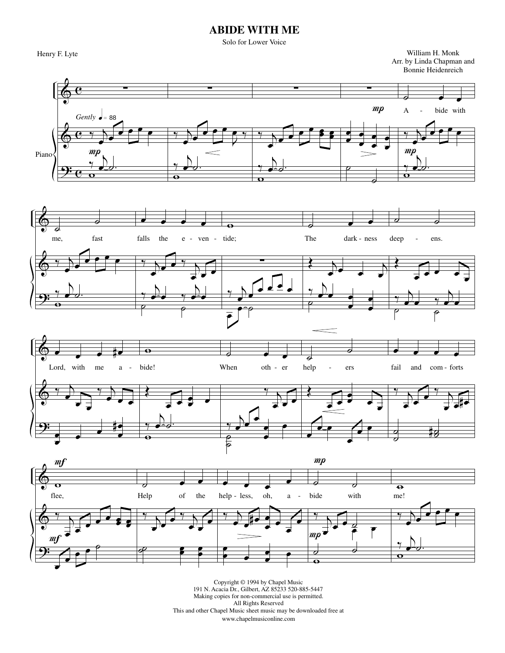## **ABIDE WITH ME**

Solo for Lower Voice

 Henry F. Lyte William H. Monk Arr. by Linda Chapman and Bonnie Heidenreich



Copyright © 1994 by Chapel Music 191 N. Acacia Dr., Gilbert, AZ 85233 520-885-5447 Making copies for non-commercial use is permitted. All Rights Reserved This and other Chapel Music sheet music may be downloaded free at www.chapelmusiconline.com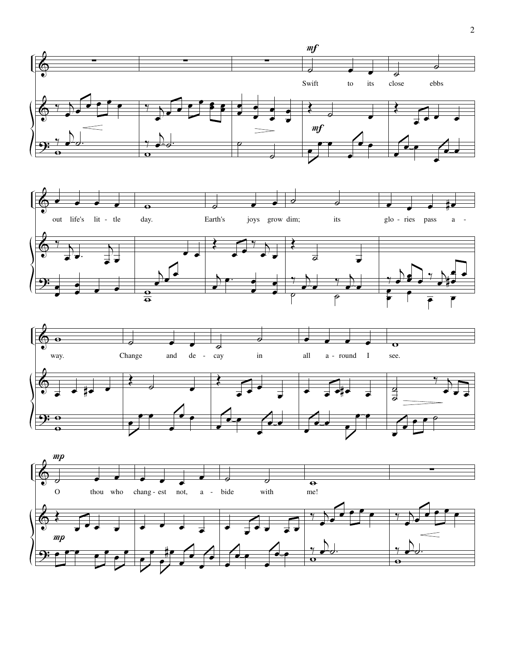